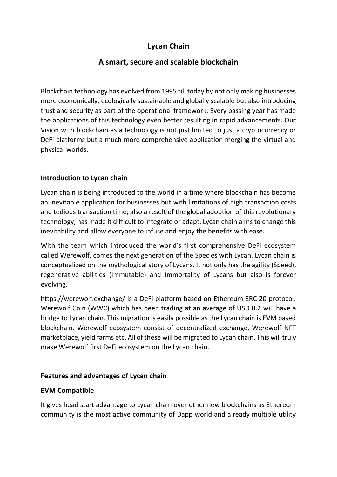# **Lycan Chain**

## **A smart, secure and scalable blockchain**

Blockchain technology has evolved from 1995 till today by not only making businesses more economically, ecologically sustainable and globally scalable but also introducing trust and security as part of the operational framework. Every passing year has made the applications of this technology even better resulting in rapid advancements. Our Vision with blockchain as a technology is not just limited to just a cryptocurrency or DeFi platforms but a much more comprehensive application merging the virtual and physical worlds.

## **Introduction to Lycan chain**

Lycan chain is being introduced to the world in a time where blockchain has become an inevitable application for businesses but with limitations of high transaction costs and tedious transaction time; also a result of the global adoption of this revolutionary technology, has made it difficult to integrate or adapt. Lycan chain aims to change this inevitability and allow everyone to infuse and enjoy the benefits with ease.

With the team which introduced the world's first comprehensive DeFi ecosystem called Werewolf, comes the next generation of the Species with Lycan. Lycan chain is conceptualized on the mythological story of Lycans. It not only has the agility (Speed), regenerative abilities (Immutable) and Immortality of Lycans but also is forever evolving.

https://werewolf.exchange/ is a DeFi platform based on Ethereum ERC 20 protocol. Werewolf Coin (WWC) which has been trading at an average of USD 0.2 will have a bridge to Lycan chain. This migration is easily possible as the Lycan chain is EVM based blockchain. Werewolf ecosystem consist of decentralized exchange, Werewolf NFT marketplace, yield farms etc. All of these will be migrated to Lycan chain. This will truly make Werewolf first DeFi ecosystem on the Lycan chain.

## **Features and advantages of Lycan chain**

#### **EVM Compatible**

It gives head start advantage to Lycan chain over other new blockchains as Ethereum community is the most active community of Dapp world and already multiple utility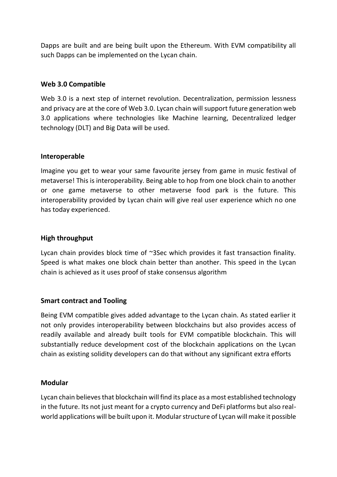Dapps are built and are being built upon the Ethereum. With EVM compatibility all such Dapps can be implemented on the Lycan chain.

#### **Web 3.0 Compatible**

Web 3.0 is a next step of internet revolution. Decentralization, permission lessness and privacy are at the core of Web 3.0. Lycan chain will support future generation web 3.0 applications where technologies like Machine learning, Decentralized ledger technology (DLT) and Big Data will be used.

#### **Interoperable**

Imagine you get to wear your same favourite jersey from game in music festival of metaverse! This is interoperability. Being able to hop from one block chain to another or one game metaverse to other metaverse food park is the future. This interoperability provided by Lycan chain will give real user experience which no one has today experienced.

#### **High throughput**

Lycan chain provides block time of ~3Sec which provides it fast transaction finality. Speed is what makes one block chain better than another. This speed in the Lycan chain is achieved as it uses proof of stake consensus algorithm

#### **Smart contract and Tooling**

Being EVM compatible gives added advantage to the Lycan chain. As stated earlier it not only provides interoperability between blockchains but also provides access of readily available and already built tools for EVM compatible blockchain. This will substantially reduce development cost of the blockchain applications on the Lycan chain as existing solidity developers can do that without any significant extra efforts

#### **Modular**

Lycan chain believes that blockchain will find its place as a most established technology in the future. Its not just meant for a crypto currency and DeFi platforms but also realworld applications will be built upon it. Modular structure of Lycan will make it possible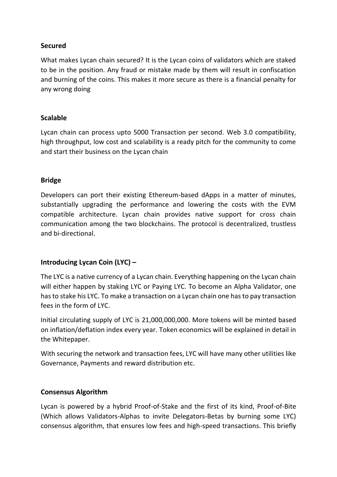#### **Secured**

What makes Lycan chain secured? It is the Lycan coins of validators which are staked to be in the position. Any fraud or mistake made by them will result in confiscation and burning of the coins. This makes it more secure as there is a financial penalty for any wrong doing

### **Scalable**

Lycan chain can process upto 5000 Transaction per second. Web 3.0 compatibility, high throughput, low cost and scalability is a ready pitch for the community to come and start their business on the Lycan chain

#### **Bridge**

Developers can port their existing Ethereum-based dApps in a matter of minutes, substantially upgrading the performance and lowering the costs with the EVM compatible architecture. Lycan chain provides native support for cross chain communication among the two blockchains. The protocol is decentralized, trustless and bi-directional.

## **Introducing Lycan Coin (LYC) –**

The LYC is a native currency of a Lycan chain. Everything happening on the Lycan chain will either happen by staking LYC or Paying LYC. To become an Alpha Validator, one has to stake his LYC. To make a transaction on a Lycan chain one has to pay transaction fees in the form of LYC.

Initial circulating supply of LYC is 21,000,000,000. More tokens will be minted based on inflation/deflation index every year. Token economics will be explained in detail in the Whitepaper.

With securing the network and transaction fees, LYC will have many other utilities like Governance, Payments and reward distribution etc.

#### **Consensus Algorithm**

Lycan is powered by a hybrid Proof-of-Stake and the first of its kind, Proof-of-Bite (Which allows Validators-Alphas to invite Delegators-Betas by burning some LYC) consensus algorithm, that ensures low fees and high-speed transactions. This briefly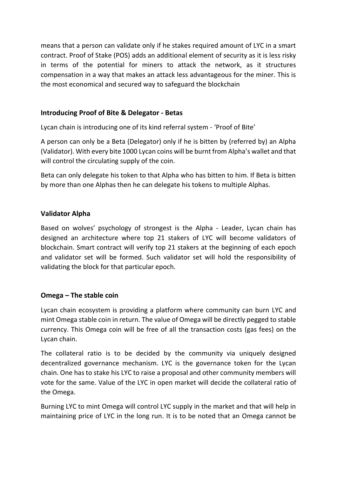means that a person can validate only if he stakes required amount of LYC in a smart contract. Proof of Stake (POS) adds an additional element of security as it is less risky in terms of the potential for miners to attack the network, as it structures compensation in a way that makes an attack less advantageous for the miner. This is the most economical and secured way to safeguard the blockchain

## **Introducing Proof of Bite & Delegator - Betas**

Lycan chain is introducing one of its kind referral system - 'Proof of Bite'

A person can only be a Beta (Delegator) only if he is bitten by (referred by) an Alpha (Validator). With every bite 1000 Lycan coins will be burnt from Alpha's wallet and that will control the circulating supply of the coin.

Beta can only delegate his token to that Alpha who has bitten to him. If Beta is bitten by more than one Alphas then he can delegate his tokens to multiple Alphas.

#### **Validator Alpha**

Based on wolves' psychology of strongest is the Alpha - Leader, Lycan chain has designed an architecture where top 21 stakers of LYC will become validators of blockchain. Smart contract will verify top 21 stakers at the beginning of each epoch and validator set will be formed. Such validator set will hold the responsibility of validating the block for that particular epoch.

#### **Omega – The stable coin**

Lycan chain ecosystem is providing a platform where community can burn LYC and mint Omega stable coin in return. The value of Omega will be directly pegged to stable currency. This Omega coin will be free of all the transaction costs (gas fees) on the Lycan chain.

The collateral ratio is to be decided by the community via uniquely designed decentralized governance mechanism. LYC is the governance token for the Lycan chain. One has to stake his LYC to raise a proposal and other community members will vote for the same. Value of the LYC in open market will decide the collateral ratio of the Omega.

Burning LYC to mint Omega will control LYC supply in the market and that will help in maintaining price of LYC in the long run. It is to be noted that an Omega cannot be